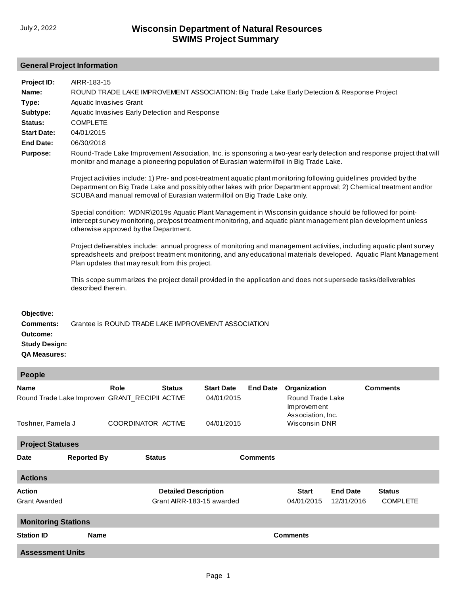## **General Project Information**

**Project ID: Name: Type: Status: Purpose: Objective: Start Date: End Date: Comments:** AIRR-183-15 ROUND TRADE LAKE IMPROVEMENT ASSOCIATION: Big Trade Lake Early Detection & Response Project Aquatic Invasives Grant Aquatic Invasives Early Detection and Response COMPLETE **Subtype:** 04/01/2015 06/30/2018 [Round-Trade Lake Improvement Association, Inc. is sponsoring a two-year early detection and response project that will](http://prodoasint.dnr.wi.gov/swims/viewPlan.do?id=115887779) monitor and manage a pioneering population of Eurasian watermilfoil in Big Trade Lake. Project activities include: 1) Pre- and post-treatment aquatic plant monitoring following guidelines provided by the Department on Big Trade Lake and possibly other lakes with prior Department approval; 2) Chemical treatment and/or SCUBA and manual removal of Eurasian watermilfoil on Big Trade Lake only. Special condition: WDNR\2019s Aquatic Plant Management in Wisconsin guidance should be followed for pointintercept survey monitoring, pre/post treatment monitoring, and aquatic plant management plan development unless otherwise approved by the Department. Project deliverables include: annual progress of monitoring and management activities, including aquatic plant survey spreadsheets and pre/post treatment monitoring, and any educational materials developed. Aquatic Plant Management Plan updates that may result from this project. This scope summarizes the project detail provided in the application and does not supersede tasks/deliverables described therein. Grantee is ROUND TRADE LAKE IMPROVEMENT ASSOCIATION **Outcome: Study Design: QA Measures:**

## **People**

| <b>Lenhie</b>                                                 |                    |                    |                             |                                                    |  |                                                 |                 |                 |  |  |  |  |
|---------------------------------------------------------------|--------------------|--------------------|-----------------------------|----------------------------------------------------|--|-------------------------------------------------|-----------------|-----------------|--|--|--|--|
| <b>Name</b><br>Round Trade Lake Improven GRANT_RECIPII ACTIVE |                    | Role               | <b>Status</b>               | <b>Start Date</b><br><b>End Date</b><br>04/01/2015 |  | Organization<br>Round Trade Lake<br>Improvement |                 | <b>Comments</b> |  |  |  |  |
| Toshner, Pamela J                                             |                    | COORDINATOR ACTIVE |                             | 04/01/2015                                         |  | Association, Inc.<br><b>Wisconsin DNR</b>       |                 |                 |  |  |  |  |
| <b>Project Statuses</b>                                       |                    |                    |                             |                                                    |  |                                                 |                 |                 |  |  |  |  |
| <b>Date</b>                                                   | <b>Reported By</b> | <b>Status</b>      |                             | <b>Comments</b>                                    |  |                                                 |                 |                 |  |  |  |  |
| <b>Actions</b>                                                |                    |                    |                             |                                                    |  |                                                 |                 |                 |  |  |  |  |
| <b>Action</b>                                                 |                    |                    | <b>Detailed Description</b> |                                                    |  | <b>Start</b>                                    | <b>End Date</b> | <b>Status</b>   |  |  |  |  |
| <b>Grant Awarded</b>                                          |                    |                    | Grant AIRR-183-15 awarded   |                                                    |  | 04/01/2015                                      | 12/31/2016      | <b>COMPLETE</b> |  |  |  |  |
| <b>Monitoring Stations</b>                                    |                    |                    |                             |                                                    |  |                                                 |                 |                 |  |  |  |  |
| <b>Station ID</b>                                             | <b>Name</b>        |                    | <b>Comments</b>             |                                                    |  |                                                 |                 |                 |  |  |  |  |
| <b>Assessment Units</b>                                       |                    |                    |                             |                                                    |  |                                                 |                 |                 |  |  |  |  |